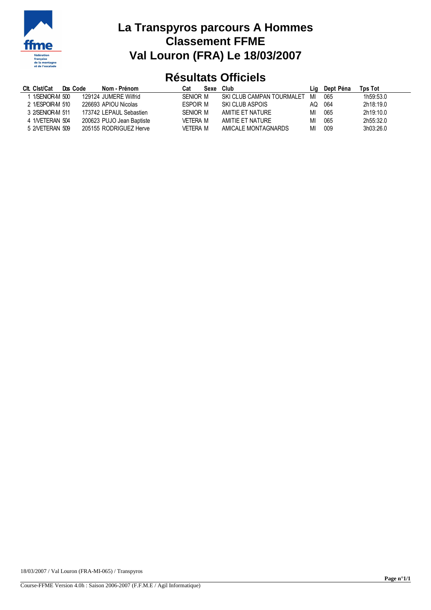

# **La Transpyros parcours A Hommes Classement FFME Val Louron (FRA) Le 18/03/2007**

### **Résultats Officiels**

| Clt. Clst/Cat    | Dos Code | Nom - Prénom              | Cat             | Sexe | Club                      | Liq | Dept Péna | Tps Tot   |
|------------------|----------|---------------------------|-----------------|------|---------------------------|-----|-----------|-----------|
| 1/SENIOR-M 500   |          | 129124 JUMFRF Wilfrid     | SENIOR M        |      | SKI CLUB CAMPAN TOURMALET | MI  | 065       | 1h59:53.0 |
| 2 1/ESPOIR-M 510 |          | 226693 APIOU Nicolas      | <b>FSPOIR M</b> |      | SKI CLUB ASPOIS           | ΑO  | 064       | 2h18:19.0 |
| 3 2/SENIOR-M 511 |          | 173742 LEPAUL Sebastien   | SENIOR M        |      | AMITIE ET NATURE          | MI  | 065       | 2h19:10.0 |
| 4 1NETERAN 504   |          | 200623 PUJO Jean Baptiste | VFTFRA M        |      | AMITIE ET NATURE          | MI  | 065       | 2h55:32.0 |
| 5 2NETERAN 509   |          | 205155 RODRIGUEZ Herve    | <b>VFTFRA M</b> |      | AMICALE MONTAGNARDS       | MI  | 009       | 3h03:26.0 |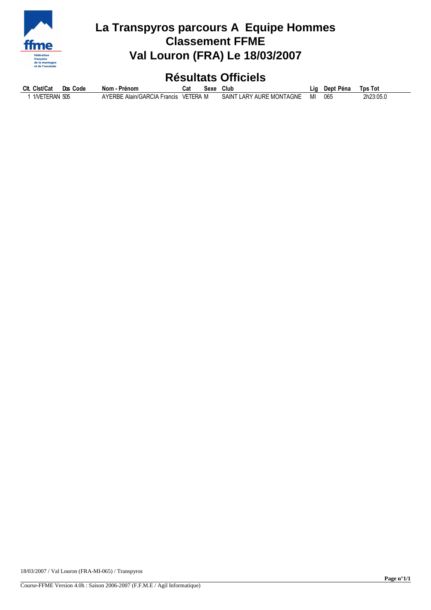

# **La Transpyros parcours A Equipe Hommes Classement FFME Val Louron (FRA) Le 18/03/2007**

### **Résultats Officiels**

| Clt. Clst/Cat | Dos Code | Nom - Prénom                         | Cat | Sexe | Club                     | Lia | Dept Péna | Tps Tot   |
|---------------|----------|--------------------------------------|-----|------|--------------------------|-----|-----------|-----------|
| 1NETERAN 505  |          | AYERBE Alain/GARCIA Francis VETERA M |     |      | SAINT LARY AURE MONTAGNE | MI  | 065       | 2h23:05.0 |

18/03/2007 / Val Louron (FRA-MI-065) / Transpyros